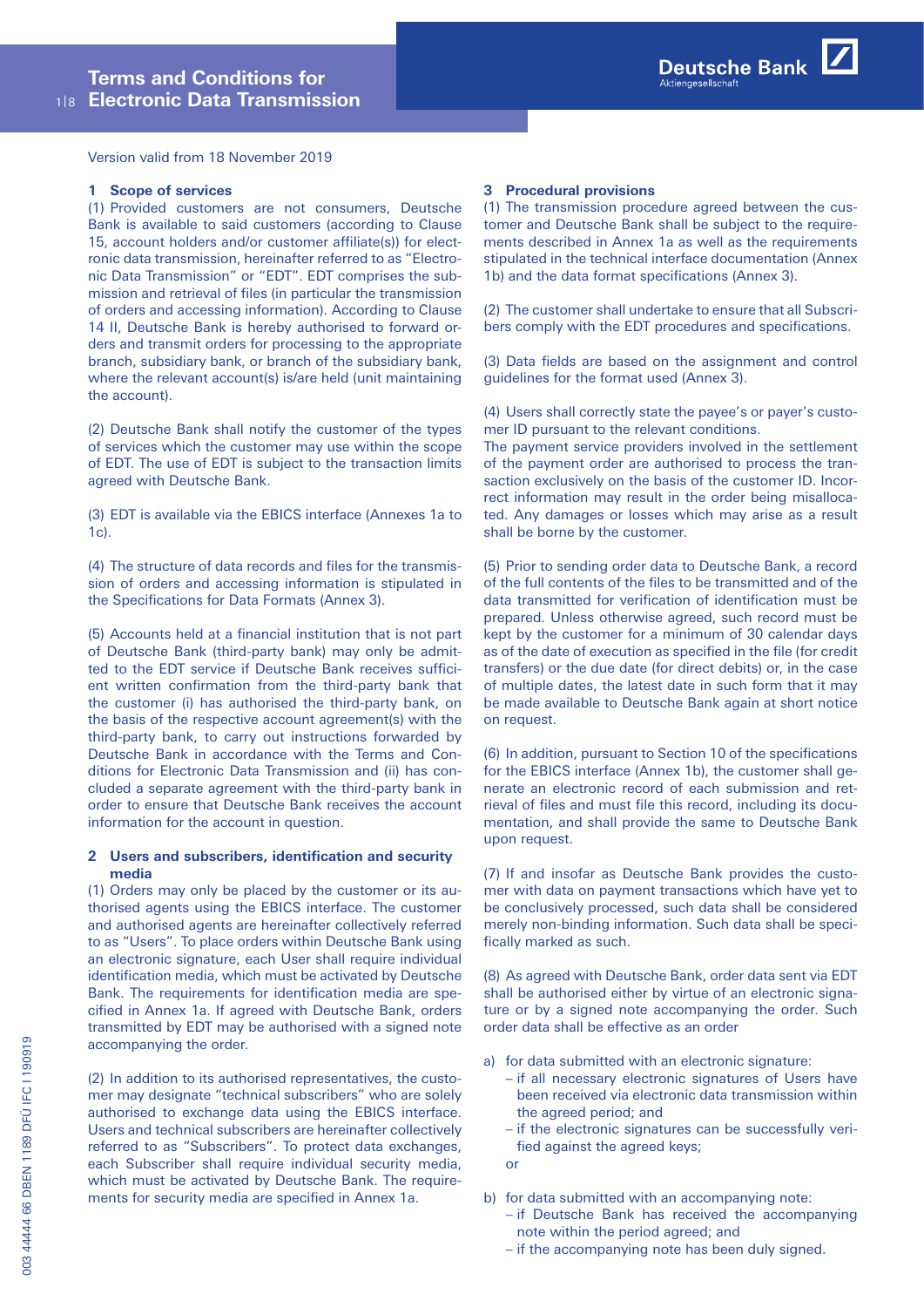Version valid from 18 November 2019

#### **1 Scope of services**

(1) Provided customers are not consumers, Deutsche Bank is available to said customers (according to Clause 15, account holders and/or customer affiliate(s)) for electronic data transmission, hereinafter referred to as "Electronic Data Transmission" or "EDT". EDT comprises the submission and retrieval of files (in particular the transmission of orders and accessing information). According to Clause 14 II, Deutsche Bank is hereby authorised to forward orders and transmit orders for processing to the appropriate branch, subsidiary bank, or branch of the subsidiary bank, where the relevant account(s) is/are held (unit maintaining the account).

(2) Deutsche Bank shall notify the customer of the types of services which the customer may use within the scope of EDT. The use of EDT is subject to the transaction limits agreed with Deutsche Bank.

(3) EDT is available via the EBICS interface (Annexes 1a to 1c).

(4) The structure of data records and files for the transmission of orders and accessing information is stipulated in the Specifications for Data Formats (Annex 3).

(5) Accounts held at a financial institution that is not part of Deutsche Bank (third-party bank) may only be admitted to the EDT service if Deutsche Bank receives sufficient written confirmation from the third-party bank that the customer (i) has authorised the third-party bank, on the basis of the respective account agreement(s) with the third-party bank, to carry out instructions forwarded by Deutsche Bank in accordance with the Terms and Conditions for Electronic Data Transmission and (ii) has concluded a separate agreement with the third-party bank in order to ensure that Deutsche Bank receives the account information for the account in question.

# **2 Users and subscribers, identification and security media**

(1) Orders may only be placed by the customer or its authorised agents using the EBICS interface. The customer and authorised agents are hereinafter collectively referred to as "Users". To place orders within Deutsche Bank using an electronic signature, each User shall require individual identification media, which must be activated by Deutsche Bank. The requirements for identification media are specified in Annex 1a. If agreed with Deutsche Bank, orders transmitted by EDT may be authorised with a signed note accompanying the order.

(2) In addition to its authorised representatives, the customer may designate "technical subscribers" who are solely authorised to exchange data using the EBICS interface. Users and technical subscribers are hereinafter collectively referred to as "Subscribers". To protect data exchanges, each Subscriber shall require individual security media, which must be activated by Deutsche Bank. The requirements for security media are specified in Annex 1a.

#### **3 Procedural provisions**

(1) The transmission procedure agreed between the customer and Deutsche Bank shall be subject to the requirements described in Annex 1a as well as the requirements stipulated in the technical interface documentation (Annex 1b) and the data format specifications (Annex 3).

(2) The customer shall undertake to ensure that all Subscribers comply with the EDT procedures and specifications.

(3) Data fields are based on the assignment and control guidelines for the format used (Annex 3).

(4) Users shall correctly state the payee's or payer's customer ID pursuant to the relevant conditions.

The payment service providers involved in the settlement of the payment order are authorised to process the transaction exclusively on the basis of the customer ID. Incorrect information may result in the order being misallocated. Any damages or losses which may arise as a result shall be borne by the customer.

(5) Prior to sending order data to Deutsche Bank, a record of the full contents of the files to be transmitted and of the data transmitted for verification of identification must be prepared. Unless otherwise agreed, such record must be kept by the customer for a minimum of 30 calendar days as of the date of execution as specified in the file (for credit transfers) or the due date (for direct debits) or, in the case of multiple dates, the latest date in such form that it may be made available to Deutsche Bank again at short notice on request.

(6) In addition, pursuant to Section 10 of the specifications for the EBICS interface (Annex 1b), the customer shall generate an electronic record of each submission and retrieval of files and must file this record, including its documentation, and shall provide the same to Deutsche Bank upon request.

(7) If and insofar as Deutsche Bank provides the customer with data on payment transactions which have yet to be conclusively processed, such data shall be considered merely non-binding information. Such data shall be specifically marked as such.

(8) As agreed with Deutsche Bank, order data sent via EDT shall be authorised either by virtue of an electronic signature or by a signed note accompanying the order. Such order data shall be effective as an order

- a) for data submitted with an electronic signature:
	- if all necessary electronic signatures of Users have been received via electronic data transmission within the agreed period; and
	- if the electronic signatures can be successfully verified against the agreed keys;
	- or
- b) for data submitted with an accompanying note:
	- if Deutsche Bank has received the accompanying note within the period agreed; and
	- if the accompanying note has been duly signed.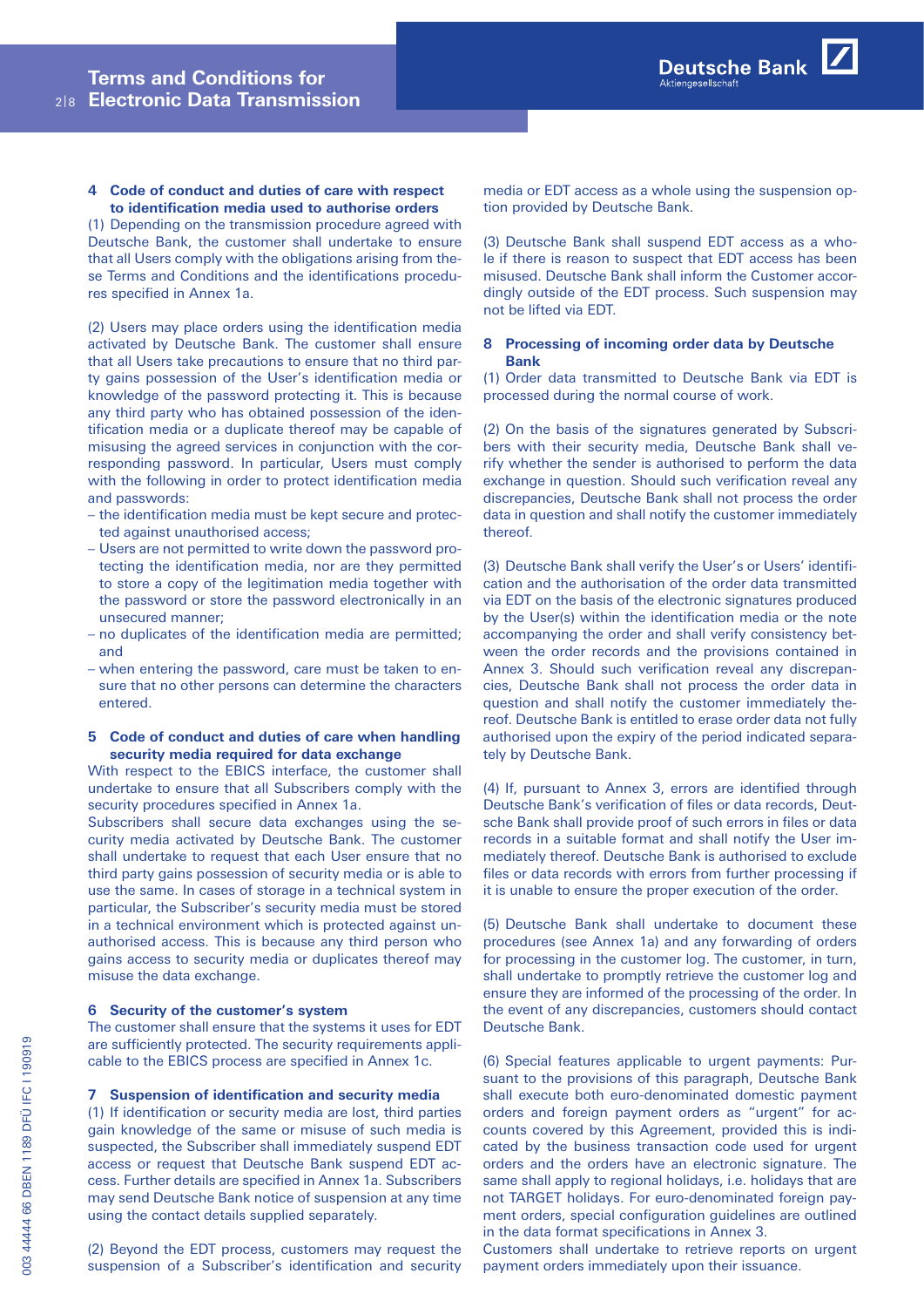**4 Code of conduct and duties of care with respect to identification media used to authorise orders**

(1) Depending on the transmission procedure agreed with Deutsche Bank, the customer shall undertake to ensure that all Users comply with the obligations arising from these Terms and Conditions and the identifications procedures specified in Annex 1a.

(2) Users may place orders using the identification media activated by Deutsche Bank. The customer shall ensure that all Users take precautions to ensure that no third party gains possession of the User's identification media or knowledge of the password protecting it. This is because any third party who has obtained possession of the identification media or a duplicate thereof may be capable of misusing the agreed services in conjunction with the corresponding password. In particular, Users must comply with the following in order to protect identification media and passwords:

- the identification media must be kept secure and protected against unauthorised access;
- Users are not permitted to write down the password protecting the identification media, nor are they permitted to store a copy of the legitimation media together with the password or store the password electronically in an unsecured manner;
- no duplicates of the identification media are permitted; and
- when entering the password, care must be taken to ensure that no other persons can determine the characters entered.

### **5 Code of conduct and duties of care when handling security media required for data exchange**

With respect to the EBICS interface, the customer shall undertake to ensure that all Subscribers comply with the security procedures specified in Annex 1a.

Subscribers shall secure data exchanges using the security media activated by Deutsche Bank. The customer shall undertake to request that each User ensure that no third party gains possession of security media or is able to use the same. In cases of storage in a technical system in particular, the Subscriber's security media must be stored in a technical environment which is protected against unauthorised access. This is because any third person who gains access to security media or duplicates thereof may misuse the data exchange.

# **6 Security of the customer's system**

The customer shall ensure that the systems it uses for EDT are sufficiently protected. The security requirements applicable to the EBICS process are specified in Annex 1c.

#### **7 Suspension of identification and security media**

(1) If identification or security media are lost, third parties gain knowledge of the same or misuse of such media is suspected, the Subscriber shall immediately suspend EDT access or request that Deutsche Bank suspend EDT access. Further details are specified in Annex 1a. Subscribers may send Deutsche Bank notice of suspension at any time using the contact details supplied separately.

(2) Beyond the EDT process, customers may request the suspension of a Subscriber's identification and security media or EDT access as a whole using the suspension option provided by Deutsche Bank.

Aktiengesellscha

Deutsche Bank

(3) Deutsche Bank shall suspend EDT access as a whole if there is reason to suspect that EDT access has been misused. Deutsche Bank shall inform the Customer accordingly outside of the EDT process. Such suspension may not be lifted via EDT.

## **8 Processing of incoming order data by Deutsche Bank**

(1) Order data transmitted to Deutsche Bank via EDT is processed during the normal course of work.

(2) On the basis of the signatures generated by Subscribers with their security media, Deutsche Bank shall verify whether the sender is authorised to perform the data exchange in question. Should such verification reveal any discrepancies, Deutsche Bank shall not process the order data in question and shall notify the customer immediately thereof.

(3) Deutsche Bank shall verify the User's or Users' identification and the authorisation of the order data transmitted via EDT on the basis of the electronic signatures produced by the User(s) within the identification media or the note accompanying the order and shall verify consistency between the order records and the provisions contained in Annex 3. Should such verification reveal any discrepancies, Deutsche Bank shall not process the order data in question and shall notify the customer immediately thereof. Deutsche Bank is entitled to erase order data not fully authorised upon the expiry of the period indicated separately by Deutsche Bank.

(4) If, pursuant to Annex 3, errors are identified through Deutsche Bank's verification of files or data records, Deutsche Bank shall provide proof of such errors in files or data records in a suitable format and shall notify the User immediately thereof. Deutsche Bank is authorised to exclude files or data records with errors from further processing if it is unable to ensure the proper execution of the order.

(5) Deutsche Bank shall undertake to document these procedures (see Annex 1a) and any forwarding of orders for processing in the customer log. The customer, in turn, shall undertake to promptly retrieve the customer log and ensure they are informed of the processing of the order. In the event of any discrepancies, customers should contact Deutsche Bank.

(6) Special features applicable to urgent payments: Pursuant to the provisions of this paragraph, Deutsche Bank shall execute both euro-denominated domestic payment orders and foreign payment orders as "urgent" for accounts covered by this Agreement, provided this is indicated by the business transaction code used for urgent orders and the orders have an electronic signature. The same shall apply to regional holidays, i.e. holidays that are not TARGET holidays. For euro-denominated foreign payment orders, special configuration guidelines are outlined in the data format specifications in Annex 3.

Customers shall undertake to retrieve reports on urgent payment orders immediately upon their issuance.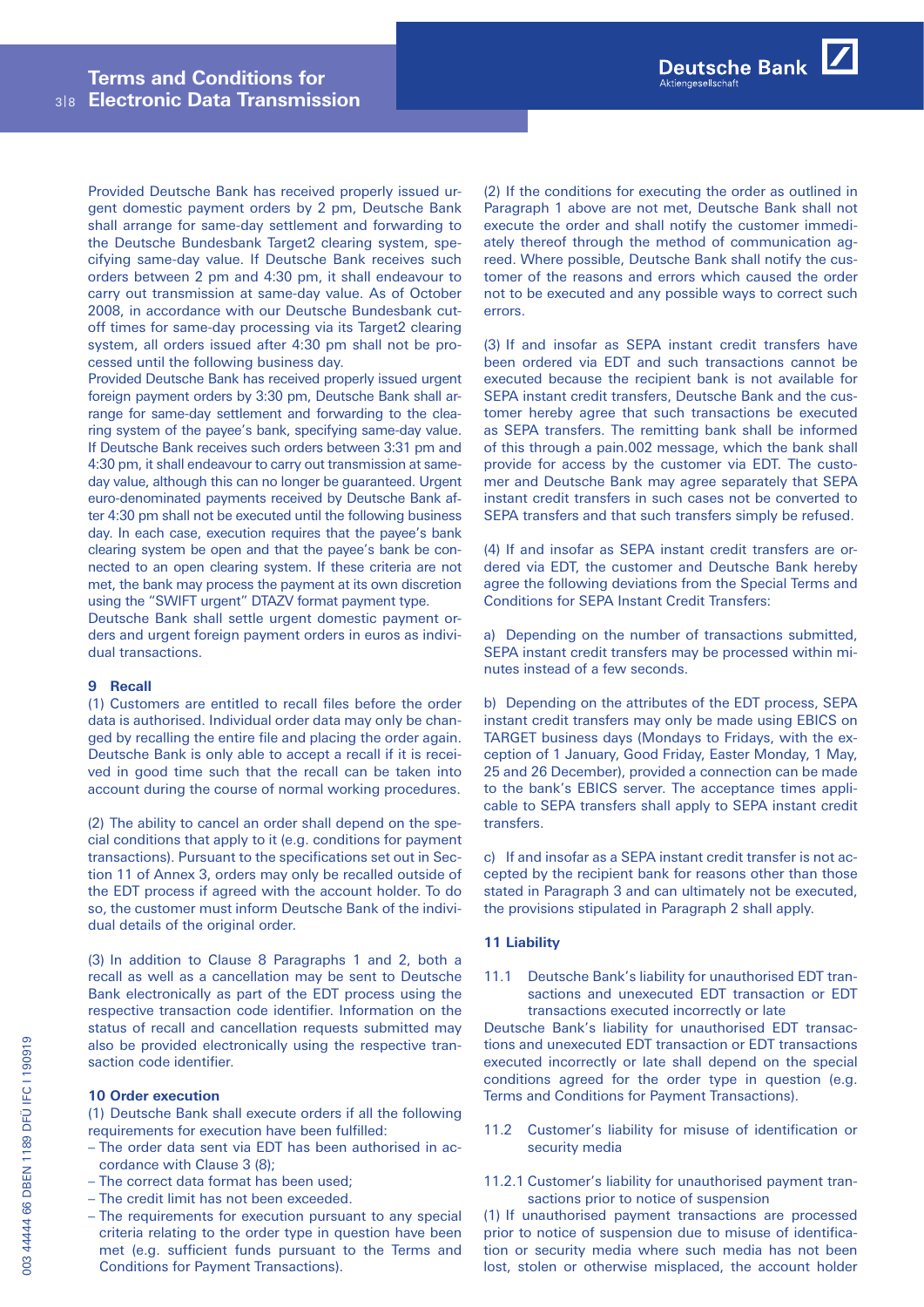Provided Deutsche Bank has received properly issued urgent domestic payment orders by 2 pm, Deutsche Bank shall arrange for same-day settlement and forwarding to the Deutsche Bundesbank Target2 clearing system, specifying same-day value. If Deutsche Bank receives such orders between 2 pm and 4:30 pm, it shall endeavour to carry out transmission at same-day value. As of October 2008, in accordance with our Deutsche Bundesbank cutoff times for same-day processing via its Target2 clearing system, all orders issued after 4:30 pm shall not be processed until the following business day.

Provided Deutsche Bank has received properly issued urgent foreign payment orders by 3:30 pm, Deutsche Bank shall arrange for same-day settlement and forwarding to the clearing system of the payee's bank, specifying same-day value. If Deutsche Bank receives such orders between 3:31 pm and 4:30 pm, it shall endeavour to carry out transmission at sameday value, although this can no longer be guaranteed. Urgent euro-denominated payments received by Deutsche Bank after 4:30 pm shall not be executed until the following business day. In each case, execution requires that the payee's bank clearing system be open and that the payee's bank be connected to an open clearing system. If these criteria are not met, the bank may process the payment at its own discretion using the "SWIFT urgent" DTAZV format payment type.

Deutsche Bank shall settle urgent domestic payment orders and urgent foreign payment orders in euros as individual transactions.

#### **9 Recall**

(1) Customers are entitled to recall files before the order data is authorised. Individual order data may only be changed by recalling the entire file and placing the order again. Deutsche Bank is only able to accept a recall if it is received in good time such that the recall can be taken into account during the course of normal working procedures.

(2) The ability to cancel an order shall depend on the special conditions that apply to it (e.g. conditions for payment transactions). Pursuant to the specifications set out in Section 11 of Annex 3, orders may only be recalled outside of the EDT process if agreed with the account holder. To do so, the customer must inform Deutsche Bank of the individual details of the original order.

(3) In addition to Clause 8 Paragraphs 1 and 2, both a recall as well as a cancellation may be sent to Deutsche Bank electronically as part of the EDT process using the respective transaction code identifier. Information on the status of recall and cancellation requests submitted may also be provided electronically using the respective transaction code identifier.

# **10 Order execution**

(1) Deutsche Bank shall execute orders if all the following requirements for execution have been fulfilled:

- The order data sent via EDT has been authorised in accordance with Clause 3 (8);
- The correct data format has been used;
- The credit limit has not been exceeded.
- The requirements for execution pursuant to any special criteria relating to the order type in question have been met (e.g. sufficient funds pursuant to the Terms and Conditions for Payment Transactions).

(2) If the conditions for executing the order as outlined in Paragraph 1 above are not met, Deutsche Bank shall not execute the order and shall notify the customer immediately thereof through the method of communication agreed. Where possible, Deutsche Bank shall notify the customer of the reasons and errors which caused the order not to be executed and any possible ways to correct such errors.

(3) If and insofar as SEPA instant credit transfers have been ordered via EDT and such transactions cannot be executed because the recipient bank is not available for SEPA instant credit transfers, Deutsche Bank and the customer hereby agree that such transactions be executed as SEPA transfers. The remitting bank shall be informed of this through a pain.002 message, which the bank shall provide for access by the customer via EDT. The customer and Deutsche Bank may agree separately that SEPA instant credit transfers in such cases not be converted to SEPA transfers and that such transfers simply be refused.

(4) If and insofar as SEPA instant credit transfers are ordered via EDT, the customer and Deutsche Bank hereby agree the following deviations from the Special Terms and Conditions for SEPA Instant Credit Transfers:

a) Depending on the number of transactions submitted, SEPA instant credit transfers may be processed within minutes instead of a few seconds.

b) Depending on the attributes of the EDT process, SEPA instant credit transfers may only be made using EBICS on TARGET business days (Mondays to Fridays, with the exception of 1 January, Good Friday, Easter Monday, 1 May, 25 and 26 December), provided a connection can be made to the bank's EBICS server. The acceptance times applicable to SEPA transfers shall apply to SEPA instant credit transfers.

c) If and insofar as a SEPA instant credit transfer is not accepted by the recipient bank for reasons other than those stated in Paragraph 3 and can ultimately not be executed, the provisions stipulated in Paragraph 2 shall apply.

# **11 Liability**

11.1   Deutsche Bank's liability for unauthorised EDT transactions and unexecuted EDT transaction or EDT transactions executed incorrectly or late

Deutsche Bank's liability for unauthorised EDT transactions and unexecuted EDT transaction or EDT transactions executed incorrectly or late shall depend on the special conditions agreed for the order type in question (e.g. Terms and Conditions for Payment Transactions).

- 11.2   Customer's liability for misuse of identification or security media
- 11.2.1  Customer's liability for unauthorised payment transactions prior to notice of suspension

(1) If unauthorised payment transactions are processed prior to notice of suspension due to misuse of identification or security media where such media has not been lost, stolen or otherwise misplaced, the account holder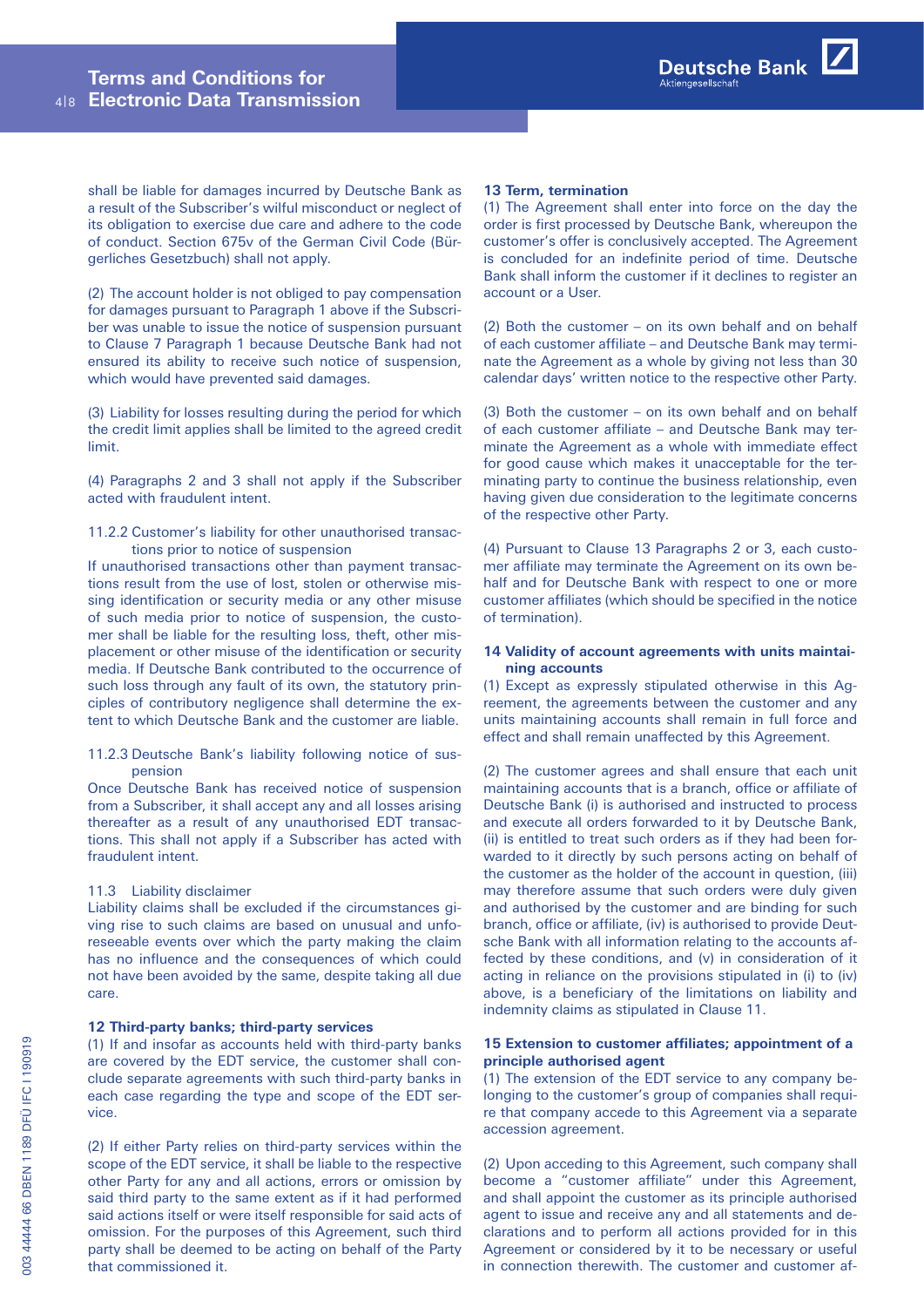shall be liable for damages incurred by Deutsche Bank as a result of the Subscriber's wilful misconduct or neglect of its obligation to exercise due care and adhere to the code of conduct. Section 675v of the German Civil Code (Bürgerliches Gesetzbuch) shall not apply.

(2) The account holder is not obliged to pay compensation for damages pursuant to Paragraph 1 above if the Subscriber was unable to issue the notice of suspension pursuant to Clause 7 Paragraph 1 because Deutsche Bank had not ensured its ability to receive such notice of suspension, which would have prevented said damages.

(3) Liability for losses resulting during the period for which the credit limit applies shall be limited to the agreed credit limit.

(4) Paragraphs 2 and 3 shall not apply if the Subscriber acted with fraudulent intent.

### 11.2.2  Customer's liability for other unauthorised transactions prior to notice of suspension

If unauthorised transactions other than payment transactions result from the use of lost, stolen or otherwise missing identification or security media or any other misuse of such media prior to notice of suspension, the customer shall be liable for the resulting loss, theft, other misplacement or other misuse of the identification or security media. If Deutsche Bank contributed to the occurrence of such loss through any fault of its own, the statutory principles of contributory negligence shall determine the extent to which Deutsche Bank and the customer are liable.

11.2.3  Deutsche Bank's liability following notice of suspension

Once Deutsche Bank has received notice of suspension from a Subscriber, it shall accept any and all losses arising thereafter as a result of any unauthorised EDT transactions. This shall not apply if a Subscriber has acted with fraudulent intent.

# 11.3 Liability disclaimer

Liability claims shall be excluded if the circumstances giving rise to such claims are based on unusual and unforeseeable events over which the party making the claim has no influence and the consequences of which could not have been avoided by the same, despite taking all due care.

## **12 Third-party banks; third-party services**

(1) If and insofar as accounts held with third-party banks are covered by the EDT service, the customer shall conclude separate agreements with such third-party banks in each case regarding the type and scope of the EDT service.

(2) If either Party relies on third-party services within the scope of the EDT service, it shall be liable to the respective other Party for any and all actions, errors or omission by said third party to the same extent as if it had performed said actions itself or were itself responsible for said acts of omission. For the purposes of this Agreement, such third party shall be deemed to be acting on behalf of the Party that commissioned it.

#### **13 Term, termination**

(1) The Agreement shall enter into force on the day the order is first processed by Deutsche Bank, whereupon the customer's offer is conclusively accepted. The Agreement is concluded for an indefinite period of time. Deutsche Bank shall inform the customer if it declines to register an account or a User.

(2) Both the customer – on its own behalf and on behalf of each customer affiliate – and Deutsche Bank may terminate the Agreement as a whole by giving not less than 30 calendar days' written notice to the respective other Party.

(3) Both the customer – on its own behalf and on behalf of each customer affiliate – and Deutsche Bank may terminate the Agreement as a whole with immediate effect for good cause which makes it unacceptable for the terminating party to continue the business relationship, even having given due consideration to the legitimate concerns of the respective other Party.

(4) Pursuant to Clause 13 Paragraphs 2 or 3, each customer affiliate may terminate the Agreement on its own behalf and for Deutsche Bank with respect to one or more customer affiliates (which should be specified in the notice of termination).

### **14 Validity of account agreements with units maintaining accounts**

(1) Except as expressly stipulated otherwise in this Agreement, the agreements between the customer and any units maintaining accounts shall remain in full force and effect and shall remain unaffected by this Agreement.

(2) The customer agrees and shall ensure that each unit maintaining accounts that is a branch, office or affiliate of Deutsche Bank (i) is authorised and instructed to process and execute all orders forwarded to it by Deutsche Bank, (ii) is entitled to treat such orders as if they had been forwarded to it directly by such persons acting on behalf of the customer as the holder of the account in question, (iii) may therefore assume that such orders were duly given and authorised by the customer and are binding for such branch, office or affiliate, (iv) is authorised to provide Deutsche Bank with all information relating to the accounts affected by these conditions, and (v) in consideration of it acting in reliance on the provisions stipulated in (i) to (iv) above, is a beneficiary of the limitations on liability and indemnity claims as stipulated in Clause 11.

# **15 Extension to customer affiliates; appointment of a principle authorised agent**

(1) The extension of the EDT service to any company belonging to the customer's group of companies shall require that company accede to this Agreement via a separate accession agreement.

(2) Upon acceding to this Agreement, such company shall become a "customer affiliate" under this Agreement, and shall appoint the customer as its principle authorised agent to issue and receive any and all statements and declarations and to perform all actions provided for in this Agreement or considered by it to be necessary or useful in connection therewith. The customer and customer af-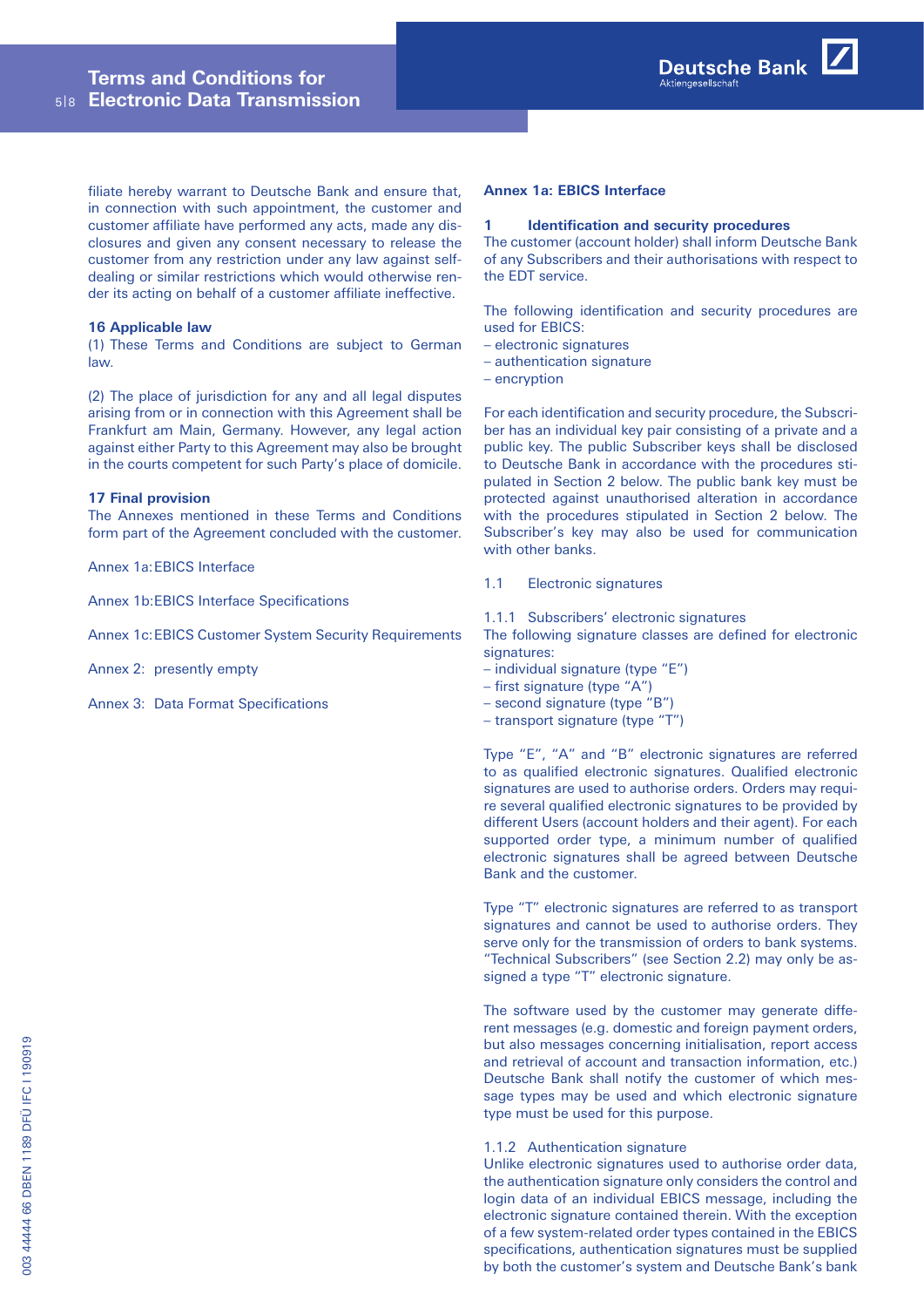filiate hereby warrant to Deutsche Bank and ensure that, in connection with such appointment, the customer and customer affiliate have performed any acts, made any disclosures and given any consent necessary to release the customer from any restriction under any law against selfdealing or similar restrictions which would otherwise render its acting on behalf of a customer affiliate ineffective.

### **16 Applicable law**

(1) These Terms and Conditions are subject to German law.

(2) The place of jurisdiction for any and all legal disputes arising from or in connection with this Agreement shall be Frankfurt am Main, Germany. However, any legal action against either Party to this Agreement may also be brought in the courts competent for such Party's place of domicile.

### **17 Final provision**

The Annexes mentioned in these Terms and Conditions form part of the Agreement concluded with the customer.

Annex 1a:EBICS Interface

Annex 1b:EBICS Interface Specifications

Annex 1c:EBICS Customer System Security Requirements

Annex 2: presently empty

Annex 3: Data Format Specifications

#### **Annex 1a: EBICS Interface**

#### **1 Identification and security procedures**

The customer (account holder) shall inform Deutsche Bank of any Subscribers and their authorisations with respect to the EDT service.

The following identification and security procedures are used for EBICS:

- electronic signatures
- authentication signature
- encryption

For each identification and security procedure, the Subscriber has an individual key pair consisting of a private and a public key. The public Subscriber keys shall be disclosed to Deutsche Bank in accordance with the procedures stipulated in Section 2 below. The public bank key must be protected against unauthorised alteration in accordance with the procedures stipulated in Section 2 below. The Subscriber's key may also be used for communication with other banks.

# 1.1   Electronic signatures

1.1.1 Subscribers' electronic signatures

The following signature classes are defined for electronic signatures:

- individual signature (type "E")
- first signature (type "A")
- second signature (type "B")
- transport signature (type "T")

Type "E", "A" and "B" electronic signatures are referred to as qualified electronic signatures. Qualified electronic signatures are used to authorise orders. Orders may require several qualified electronic signatures to be provided by different Users (account holders and their agent). For each supported order type, a minimum number of qualified electronic signatures shall be agreed between Deutsche Bank and the customer.

Type "T" electronic signatures are referred to as transport signatures and cannot be used to authorise orders. They serve only for the transmission of orders to bank systems. "Technical Subscribers" (see Section 2.2) may only be assigned a type "T" electronic signature.

The software used by the customer may generate different messages (e.g. domestic and foreign payment orders, but also messages concerning initialisation, report access and retrieval of account and transaction information, etc.) Deutsche Bank shall notify the customer of which message types may be used and which electronic signature type must be used for this purpose.

# 1.1.2 Authentication signature

Unlike electronic signatures used to authorise order data, the authentication signature only considers the control and login data of an individual EBICS message, including the electronic signature contained therein. With the exception of a few system-related order types contained in the EBICS specifications, authentication signatures must be supplied by both the customer's system and Deutsche Bank's bank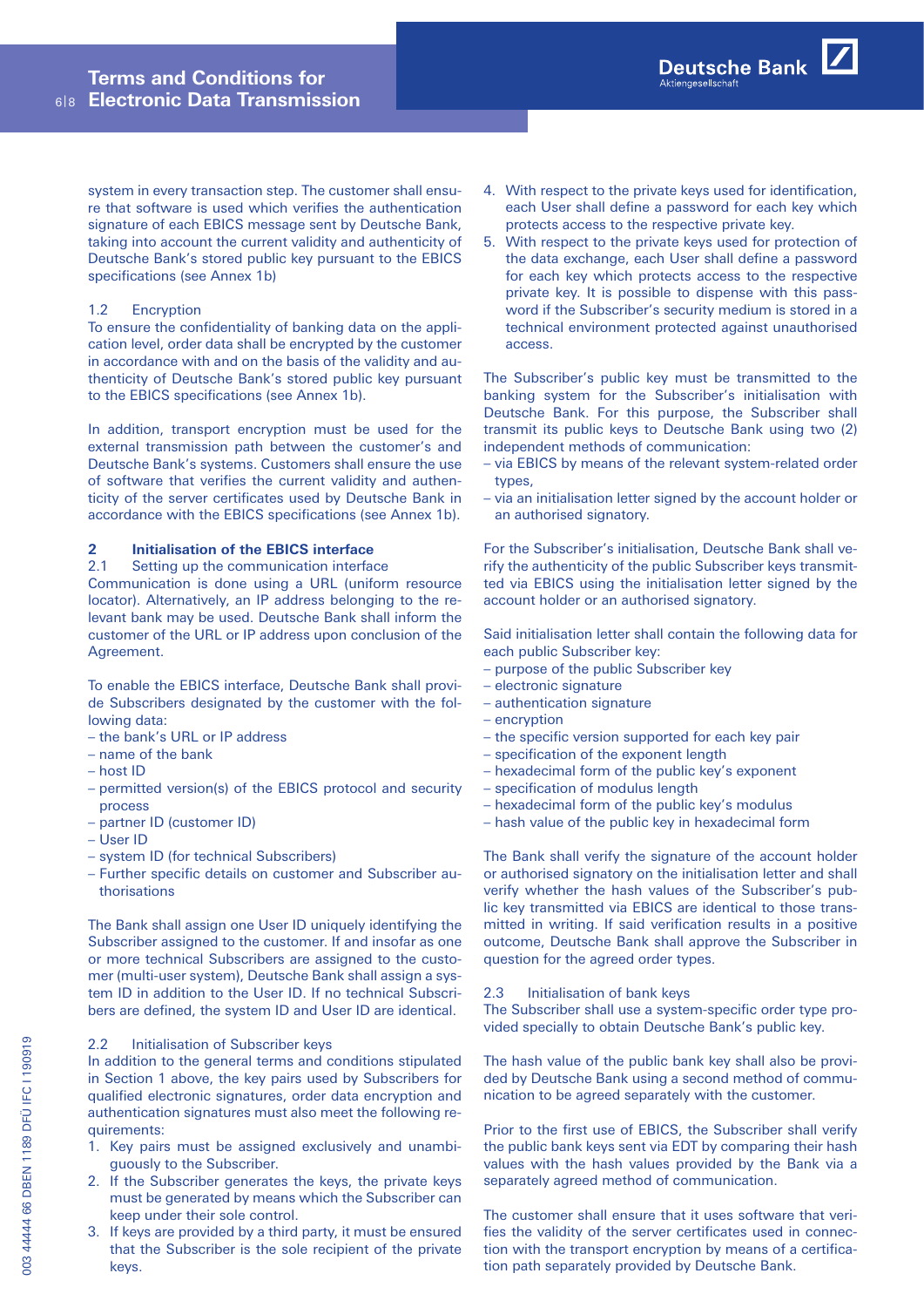system in every transaction step. The customer shall ensure that software is used which verifies the authentication signature of each EBICS message sent by Deutsche Bank, taking into account the current validity and authenticity of Deutsche Bank's stored public key pursuant to the EBICS specifications (see Annex 1b)

# 1.2   Encryption

To ensure the confidentiality of banking data on the application level, order data shall be encrypted by the customer in accordance with and on the basis of the validity and authenticity of Deutsche Bank's stored public key pursuant to the EBICS specifications (see Annex 1b).

In addition, transport encryption must be used for the external transmission path between the customer's and Deutsche Bank's systems. Customers shall ensure the use of software that verifies the current validity and authenticity of the server certificates used by Deutsche Bank in accordance with the EBICS specifications (see Annex 1b).

# **2 Initialisation of the EBICS interface**

# 2.1   Setting up the communication interface

Communication is done using a URL (uniform resource locator). Alternatively, an IP address belonging to the relevant bank may be used. Deutsche Bank shall inform the customer of the URL or IP address upon conclusion of the Agreement.

To enable the EBICS interface, Deutsche Bank shall provide Subscribers designated by the customer with the following data:

- the bank's URL or IP address
- name of the bank
- host ID
- permitted version(s) of the EBICS protocol and security process
- partner ID (customer ID)
- User ID
- system ID (for technical Subscribers)
- Further specific details on customer and Subscriber authorisations

The Bank shall assign one User ID uniquely identifying the Subscriber assigned to the customer. If and insofar as one or more technical Subscribers are assigned to the customer (multi-user system), Deutsche Bank shall assign a system ID in addition to the User ID. If no technical Subscribers are defined, the system ID and User ID are identical.

# 2.2   Initialisation of Subscriber keys

In addition to the general terms and conditions stipulated in Section 1 above, the key pairs used by Subscribers for qualified electronic signatures, order data encryption and authentication signatures must also meet the following requirements:

- 1. Key pairs must be assigned exclusively and unambiguously to the Subscriber.
- 2.   If the Subscriber generates the keys, the private keys must be generated by means which the Subscriber can keep under their sole control.
- 3.   If keys are provided by a third party, it must be ensured that the Subscriber is the sole recipient of the private keys.
- 4.   With respect to the private keys used for identification, each User shall define a password for each key which protects access to the respective private key.
- 5.   With respect to the private keys used for protection of the data exchange, each User shall define a password for each key which protects access to the respective private key. It is possible to dispense with this password if the Subscriber's security medium is stored in a technical environment protected against unauthorised access.

The Subscriber's public key must be transmitted to the banking system for the Subscriber's initialisation with Deutsche Bank. For this purpose, the Subscriber shall transmit its public keys to Deutsche Bank using two (2) independent methods of communication:

- via EBICS by means of the relevant system-related order types,
- via an initialisation letter signed by the account holder or an authorised signatory.

For the Subscriber's initialisation, Deutsche Bank shall verify the authenticity of the public Subscriber keys transmitted via EBICS using the initialisation letter signed by the account holder or an authorised signatory.

Said initialisation letter shall contain the following data for each public Subscriber key:

- purpose of the public Subscriber key
- electronic signature
- authentication signature
- encryption
- the specific version supported for each key pair
- specification of the exponent length
- hexadecimal form of the public key's exponent
- specification of modulus length
- hexadecimal form of the public key's modulus
- hash value of the public key in hexadecimal form

The Bank shall verify the signature of the account holder or authorised signatory on the initialisation letter and shall verify whether the hash values of the Subscriber's public key transmitted via EBICS are identical to those transmitted in writing. If said verification results in a positive outcome, Deutsche Bank shall approve the Subscriber in question for the agreed order types.

# 2.3   Initialisation of bank keys

The Subscriber shall use a system-specific order type provided specially to obtain Deutsche Bank's public key.

The hash value of the public bank key shall also be provided by Deutsche Bank using a second method of communication to be agreed separately with the customer.

Prior to the first use of EBICS, the Subscriber shall verify the public bank keys sent via EDT by comparing their hash values with the hash values provided by the Bank via a separately agreed method of communication.

The customer shall ensure that it uses software that verifies the validity of the server certificates used in connection with the transport encryption by means of a certification path separately provided by Deutsche Bank.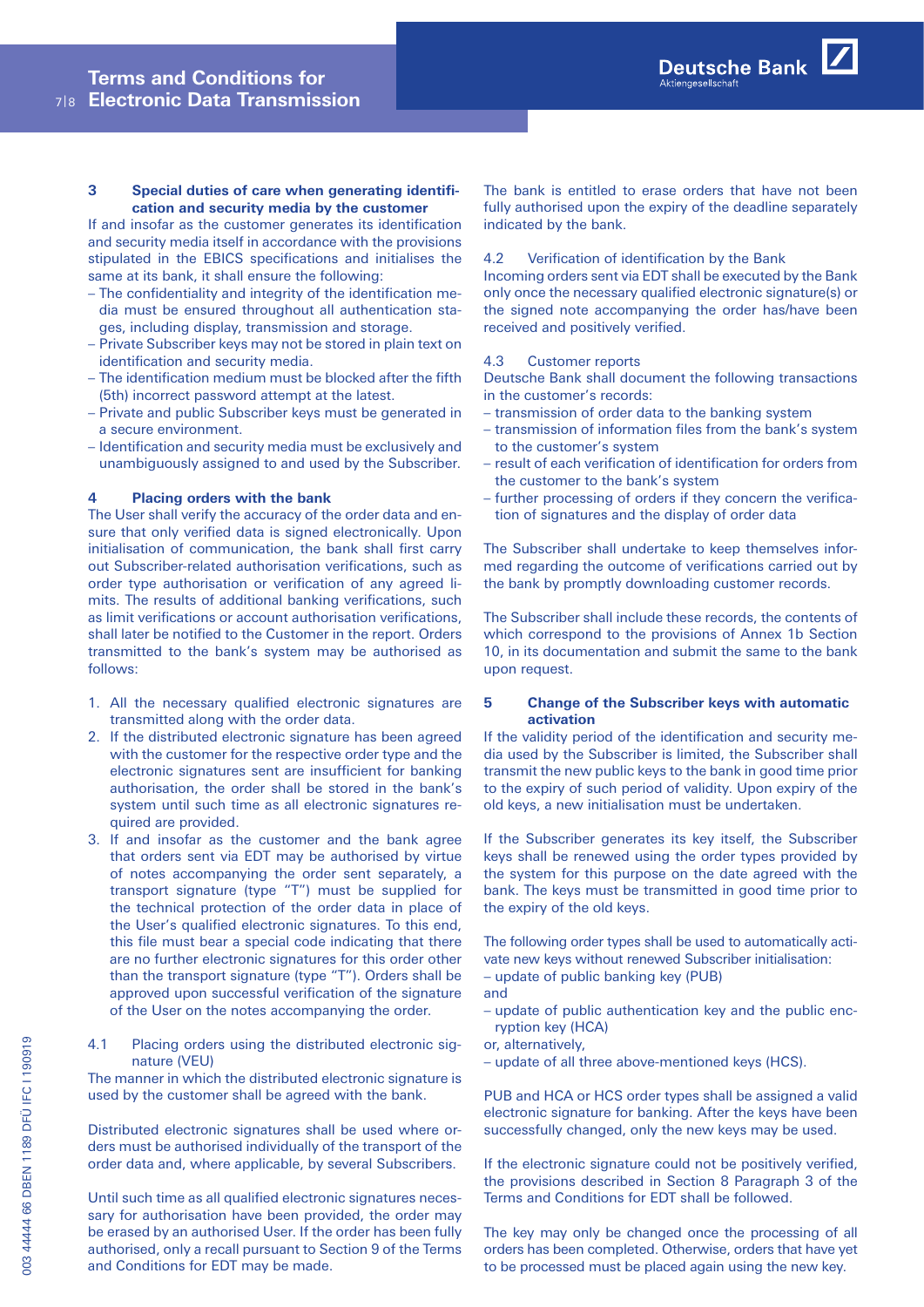# **3 Special duties of care when generating identification and security media by the customer**

If and insofar as the customer generates its identification and security media itself in accordance with the provisions stipulated in the EBICS specifications and initialises the same at its bank, it shall ensure the following:

- The confidentiality and integrity of the identification media must be ensured throughout all authentication stages, including display, transmission and storage.
- Private Subscriber keys may not be stored in plain text on identification and security media.
- The identification medium must be blocked after the fifth (5th) incorrect password attempt at the latest.
- Private and public Subscriber keys must be generated in a secure environment.
- Identification and security media must be exclusively and unambiguously assigned to and used by the Subscriber.

### **4 Placing orders with the bank**

The User shall verify the accuracy of the order data and ensure that only verified data is signed electronically. Upon initialisation of communication, the bank shall first carry out Subscriber-related authorisation verifications, such as order type authorisation or verification of any agreed limits. The results of additional banking verifications, such as limit verifications or account authorisation verifications, shall later be notified to the Customer in the report. Orders transmitted to the bank's system may be authorised as follows:

- 1. All the necessary qualified electronic signatures are transmitted along with the order data.
- 2.   If the distributed electronic signature has been agreed with the customer for the respective order type and the electronic signatures sent are insufficient for banking authorisation, the order shall be stored in the bank's system until such time as all electronic signatures required are provided.
- 3. If and insofar as the customer and the bank agree that orders sent via EDT may be authorised by virtue of notes accompanying the order sent separately, a transport signature (type "T") must be supplied for the technical protection of the order data in place of the User's qualified electronic signatures. To this end, this file must bear a special code indicating that there are no further electronic signatures for this order other than the transport signature (type "T"). Orders shall be approved upon successful verification of the signature of the User on the notes accompanying the order.

4.1    Placing orders using the distributed electronic signature (VEU)

The manner in which the distributed electronic signature is used by the customer shall be agreed with the bank.

Distributed electronic signatures shall be used where orders must be authorised individually of the transport of the order data and, where applicable, by several Subscribers.

Until such time as all qualified electronic signatures necessary for authorisation have been provided, the order may be erased by an authorised User. If the order has been fully authorised, only a recall pursuant to Section 9 of the Terms and Conditions for EDT may be made.

The bank is entitled to erase orders that have not been fully authorised upon the expiry of the deadline separately indicated by the bank.

# 4.2   Verification of identification by the Bank

Incoming orders sent via EDT shall be executed by the Bank only once the necessary qualified electronic signature(s) or the signed note accompanying the order has/have been received and positively verified.

### 4.3   Customer reports

Deutsche Bank shall document the following transactions in the customer's records:

- transmission of order data to the banking system
- transmission of information files from the bank's system to the customer's system
- result of each verification of identification for orders from the customer to the bank's system
- further processing of orders if they concern the verification of signatures and the display of order data

The Subscriber shall undertake to keep themselves informed regarding the outcome of verifications carried out by the bank by promptly downloading customer records.

The Subscriber shall include these records, the contents of which correspond to the provisions of Annex 1b Section 10, in its documentation and submit the same to the bank upon request.

# **5 Change of the Subscriber keys with automatic activation**

If the validity period of the identification and security media used by the Subscriber is limited, the Subscriber shall transmit the new public keys to the bank in good time prior to the expiry of such period of validity. Upon expiry of the old keys, a new initialisation must be undertaken.

If the Subscriber generates its key itself, the Subscriber keys shall be renewed using the order types provided by the system for this purpose on the date agreed with the bank. The keys must be transmitted in good time prior to the expiry of the old keys.

The following order types shall be used to automatically activate new keys without renewed Subscriber initialisation: – update of public banking key (PUB)

- and
	-
- update of public authentication key and the public encryption key (HCA)
- or, alternatively,
- update of all three above-mentioned keys (HCS).

PUB and HCA or HCS order types shall be assigned a valid electronic signature for banking. After the keys have been successfully changed, only the new keys may be used.

If the electronic signature could not be positively verified, the provisions described in Section 8 Paragraph 3 of the Terms and Conditions for EDT shall be followed.

The key may only be changed once the processing of all orders has been completed. Otherwise, orders that have yet to be processed must be placed again using the new key.